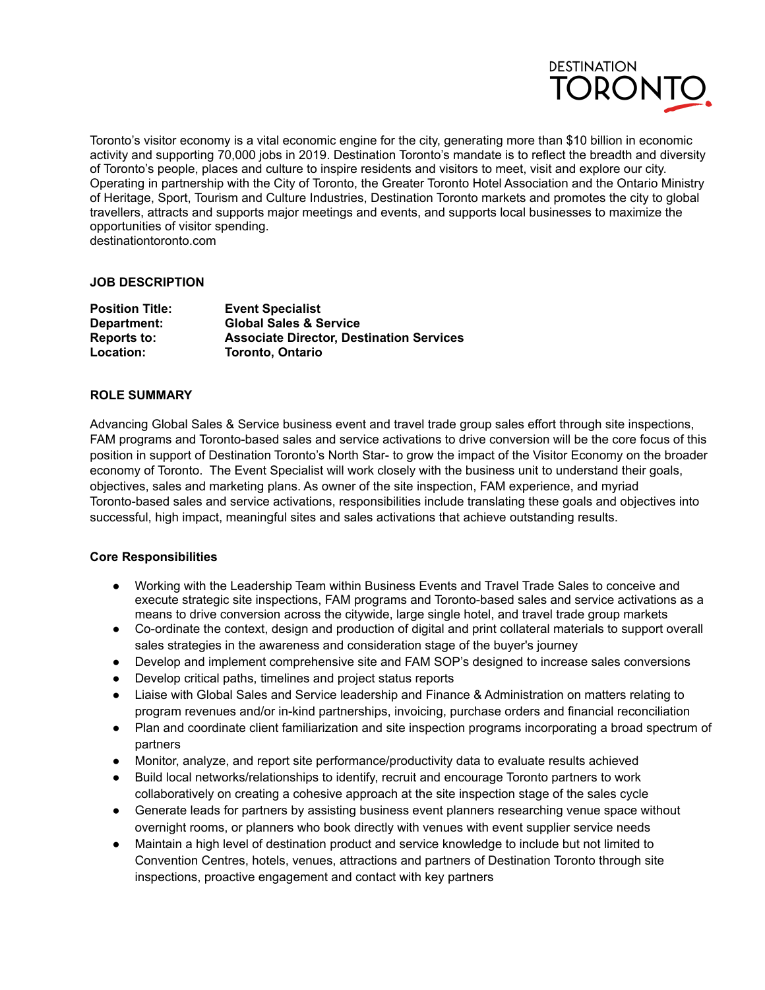

Toronto's visitor economy is a vital economic engine for the city, generating more than \$10 billion in economic activity and supporting 70,000 jobs in 2019. Destination Toronto's mandate is to reflect the breadth and diversity of Toronto's people, places and culture to inspire residents and visitors to meet, visit and explore our city. Operating in partnership with the City of Toronto, the Greater Toronto Hotel Association and the Ontario Ministry of Heritage, Sport, Tourism and Culture Industries, Destination Toronto markets and promotes the city to global travellers, attracts and supports major meetings and events, and supports local businesses to maximize the opportunities of visitor spending. destinationtoronto.com

# **JOB DESCRIPTION**

| <b>Position Title:</b> | <b>Event Specialist</b>                         |
|------------------------|-------------------------------------------------|
| Department:            | <b>Global Sales &amp; Service</b>               |
| <b>Reports to:</b>     | <b>Associate Director, Destination Services</b> |
| Location:              | <b>Toronto, Ontario</b>                         |

# **ROLE SUMMARY**

Advancing Global Sales & Service business event and travel trade group sales effort through site inspections, FAM programs and Toronto-based sales and service activations to drive conversion will be the core focus of this position in support of Destination Toronto's North Star- to grow the impact of the Visitor Economy on the broader economy of Toronto. The Event Specialist will work closely with the business unit to understand their goals, objectives, sales and marketing plans. As owner of the site inspection, FAM experience, and myriad Toronto-based sales and service activations, responsibilities include translating these goals and objectives into successful, high impact, meaningful sites and sales activations that achieve outstanding results.

## **Core Responsibilities**

- Working with the Leadership Team within Business Events and Travel Trade Sales to conceive and execute strategic site inspections, FAM programs and Toronto-based sales and service activations as a means to drive conversion across the citywide, large single hotel, and travel trade group markets
- Co-ordinate the context, design and production of digital and print collateral materials to support overall sales strategies in the awareness and consideration stage of the buyer's journey
- Develop and implement comprehensive site and FAM SOP's designed to increase sales conversions
- Develop critical paths, timelines and project status reports
- Liaise with Global Sales and Service leadership and Finance & Administration on matters relating to program revenues and/or in-kind partnerships, invoicing, purchase orders and financial reconciliation
- Plan and coordinate client familiarization and site inspection programs incorporating a broad spectrum of partners
- Monitor, analyze, and report site performance/productivity data to evaluate results achieved
- Build local networks/relationships to identify, recruit and encourage Toronto partners to work collaboratively on creating a cohesive approach at the site inspection stage of the sales cycle
- Generate leads for partners by assisting business event planners researching venue space without overnight rooms, or planners who book directly with venues with event supplier service needs
- Maintain a high level of destination product and service knowledge to include but not limited to Convention Centres, hotels, venues, attractions and partners of Destination Toronto through site inspections, proactive engagement and contact with key partners